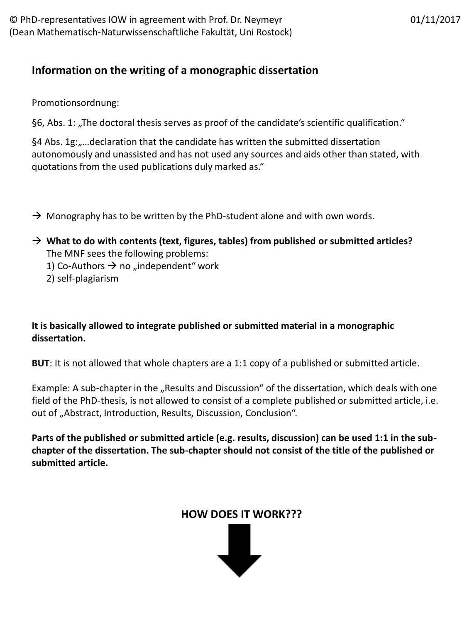## **Information on the writing of a monographic dissertation**

Promotionsordnung:

§6, Abs. 1: "The doctoral thesis serves as proof of the candidate's scientific qualification."

§4 Abs. 1g: "... declaration that the candidate has written the submitted dissertation autonomously and unassisted and has not used any sources and aids other than stated, with quotations from the used publications duly marked as."

- $\rightarrow$  Monography has to be written by the PhD-student alone and with own words.
- **What to do with contents (text, figures, tables) from published or submitted articles?** The MNF sees the following problems: 1) Co-Authors  $\rightarrow$  no "independent" work 2) self-plagiarism

**It is basically allowed to integrate published or submitted material in a monographic dissertation.**

**BUT**: It is not allowed that whole chapters are a 1:1 copy of a published or submitted article.

Example: A sub-chapter in the "Results and Discussion" of the dissertation, which deals with one field of the PhD-thesis, is not allowed to consist of a complete published or submitted article, i.e. out of "Abstract, Introduction, Results, Discussion, Conclusion".

**Parts of the published or submitted article (e.g. results, discussion) can be used 1:1 in the subchapter of the dissertation. The sub-chapter should not consist of the title of the published or submitted article.**

## **HOW DOES IT WORK???**